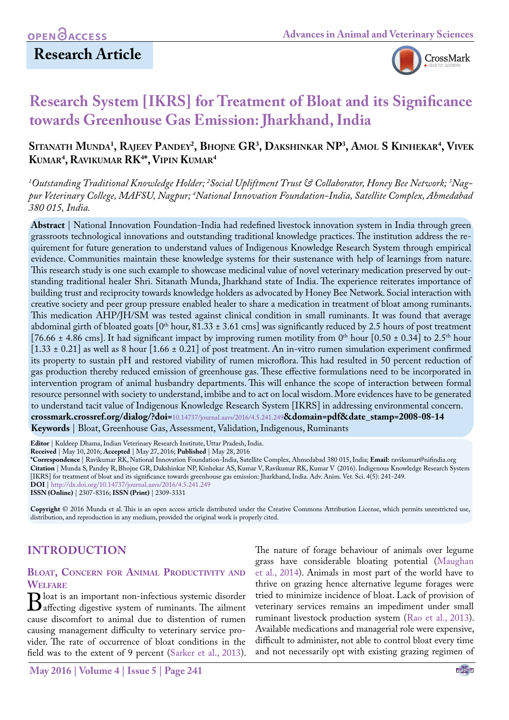### **Research Article**



## **Research System [IKRS] for Treatment of Bloat and its Significance towards Greenhouse Gas Emission: Jharkhand, India**

### **Sitanath Munda1 , Rajeev Pandey2 , Bhojne GR3 , Dakshinkar NP3 , Amol S Kinhekar4 , Vivek Kumar4 , Ravikumar RK4 \*, Vipin Kumar4**

*1 Outstanding Traditional Knowledge Holder; 2 Social Upliftment Trust & Collaborator, Honey Bee Network; 3 Nagpur Veterinary College, MAFSU, Nagpur; 4 National Innovation Foundation-India, Satellite Complex, Ahmedabad 380 015, India.*

**Abstract** | National Innovation Foundation-India had redefined livestock innovation system in India through green grassroots technological innovations and outstanding traditional knowledge practices. The institution address the requirement for future generation to understand values of Indigenous Knowledge Research System through empirical evidence. Communities maintain these knowledge systems for their sustenance with help of learnings from nature. This research study is one such example to showcase medicinal value of novel veterinary medication preserved by outstanding traditional healer Shri. Sitanath Munda, Jharkhand state of India. The experience reiterates importance of building trust and reciprocity towards knowledge holders as advocated by Honey Bee Network. Social interaction with creative society and peer group pressure enabled healer to share a medication in treatment of bloat among ruminants. This medication AHP/JH/SM was tested against clinical condition in small ruminants. It was found that average abdominal girth of bloated goats  $[0<sup>th</sup> hour, 81.33 \pm 3.61$  cms] was significantly reduced by 2.5 hours of post treatment [76.66  $\pm$  4.86 cms]. It had significant impact by improving rumen motility from 0<sup>th</sup> hour [0.50  $\pm$  0.34] to 2.5<sup>th</sup> hour [1.33 ± 0.21] as well as 8 hour [1.66 ± 0.21] of post treatment. An in-vitro rumen simulation experiment confirmed its property to sustain pH and restored viability of rumen microflora. This had resulted in 50 percent reduction of gas production thereby reduced emission of greenhouse gas. These effective formulations need to be incorporated in intervention program of animal husbandry departments. This will enhance the scope of interaction between formal resource personnel with society to understand, imbibe and to act on local wisdom. More evidences have to be generated to understand tacit value of Indigenous Knowledge Research System [IKRS] in addressing environmental concern. **crossmark.crossref.org/dialog/?doi=**10.14737/journal.aavs/2016/4.5.241.249**&domain=pdf&date\_stamp=2008-08-14 Keywords** | Bloat, Greenhouse Gas, Assessment, Validation, Indigenous, Ruminants

**Editor** | Kuldeep Dhama, Indian Veterinary Research Institute, Uttar Pradesh, India.

**Received** | May 10, 2016; **Accepted** | May 27, 2016; **Published** | May 28, 2016

**\*Correspondence** | Ravikumar RK, National Innovation Foundation-India, Satellite Complex, Ahmedabad 380 015, India; **Email:** ravikumar@nifindia.org **Citation** | Munda S, Pandey R, Bhojne GR, Dakshinkar NP, Kinhekar AS, Kumar V, Ravikumar RK, Kumar V (2016). Indigenous Knowledge Research System [IKRS] for treatment of bloat and its significance towards greenhouse gas emission: Jharkhand, India. Adv. Anim. Vet. Sci. 4(5): 241-249.

**DOI** | <http://dx.doi.org/10.14737/journal.aavs/2016/4.5.241.249> **ISSN (Online)** | 2307-8316; **ISSN (Print)** | 2309-3331

**Copyright** © 2016 Munda et al. This is an open access article distributed under the Creative Commons Attribution License, which permits unrestricted use, distribution, and reproduction in any medium, provided the original work is properly cited.

### **INTRODUCTION**

# **Bloat, Concern for Animal Productivity and**

WELFARE<br> **D** loat is an important non-infectious systemic disorder **B** loat is an important non-infectious systemic disorder<br>diffecting digestive system of ruminants. The ailment<br>cause discomfort to animal due to distention of rumen cause discomfort to animal due to distention of rumen causing management difficulty to veterinary service provider. The rate of occurrence of bloat conditions in the field was to the extent of 9 percent [\(Sarker et al., 2013\)](#page-8-0).

The nature of forage behaviour of animals over legume grass have considerable bloating potential [\(Maughan](#page-7-0) [et al., 2014](#page-7-0)). Animals in most part of the world have to thrive on grazing hence alternative legume forages were tried to minimize incidence of bloat. Lack of provision of veterinary services remains an impediment under small ruminant livestock production system ([Rao et al., 2013\)](#page-7-1). Available medications and managerial role were expensive, difficult to administer, not able to control bloat every time and not necessarily opt with existing grazing regimen of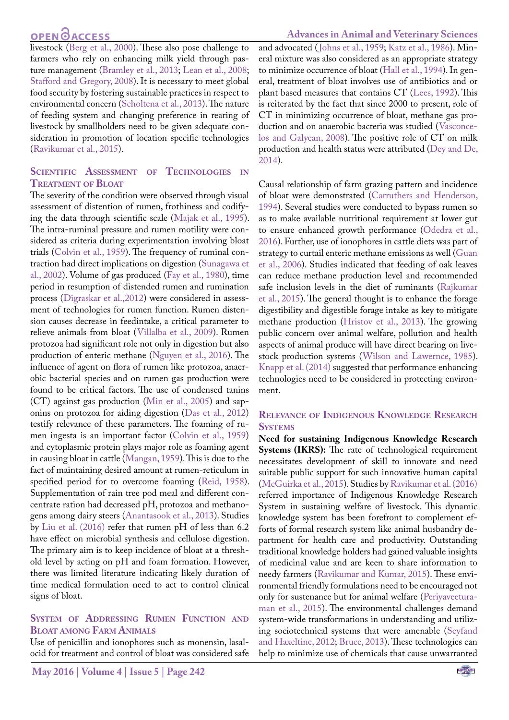### **OPEN**<sub>d</sub>

livestock ([Berg et al., 2000](#page-6-0)). These also pose challenge to farmers who rely on enhancing milk yield through pasture management ([Bramley et al., 2013](#page-6-0); [Lean et al., 2008;](#page-7-2) [Stafford and Gregory, 2008\)](#page-8-0). It is necessary to meet global food security by fostering sustainable practices in respect to environmental concern [\(Scholtena et al., 2013](#page-8-0)). The nature of feeding system and changing preference in rearing of livestock by smallholders need to be given adequate consideration in promotion of location specific technologies ([Ravikumar et al., 2015](#page-7-1)).

#### **Scientific Assessment of Technologies in Treatment of Bloat**

The severity of the condition were observed through visual assessment of distention of rumen, frothiness and codifying the data through scientific scale [\(Majak et al., 1995\)](#page-7-0). The intra-ruminal pressure and rumen motility were considered as criteria during experimentation involving bloat trials ([Colvin et al., 1959](#page-6-1)). The frequency of ruminal contraction had direct implications on digestion ([Sunagawa et](#page-8-0) [al., 2002\)](#page-8-0). Volume of gas produced [\(Fay et al., 1980\)](#page-6-2), time period in resumption of distended rumen and rumination process [\(Digraskar et al.,2012\)](#page-6-3) were considered in assessment of technologies for rumen function. Rumen distension causes decrease in feedintake, a critical parameter to relieve animals from bloat ([Villalba et al., 2009\)](#page-8-1). Rumen protozoa had significant role not only in digestion but also production of enteric methane [\(Nguyen et al., 2016](#page-7-3)). The influence of agent on flora of rumen like protozoa, anaerobic bacterial species and on rumen gas production were found to be critical factors. The use of condensed tanins (CT) against gas production [\(Min et al., 2005\)](#page-7-0) and saponins on protozoa for aiding digestion [\(Das et al., 2012\)](#page-6-3) testify relevance of these parameters. The foaming of rumen ingesta is an important factor [\(Colvin et al., 1959\)](#page-6-1) and cytoplasmic protein plays major role as foaming agent in causing bloat in cattle ([Mangan, 1959](#page-7-0)). This is due to the fact of maintaining desired amount at rumen-reticulum in specified period for to overcome foaming ([Reid, 1958\)](#page-7-1). Supplementation of rain tree pod meal and different concentrate ration had decreased pH, protozoa and methanogens among dairy steers ([Anantasook et al., 2013](#page-6-4)). Studies by [Liu et al. \(2016\)](#page-7-2) refer that rumen pH of less than 6.2 have effect on microbial synthesis and cellulose digestion. The primary aim is to keep incidence of bloat at a threshold level by acting on pH and foam formation. However, there was limited literature indicating likely duration of time medical formulation need to act to control clinical signs of bloat.

#### **System of Addressing Rumen Function and Bloat among Farm Animals**

Use of penicillin and ionophores such as monensin, lasalocid for treatment and control of bloat was considered safe and advocated ([Johns et al., 1959](#page-7-4); [Katz et al., 1986](#page-7-5)). Mineral mixture was also considered as an appropriate strategy to minimize occurrence of bloat ([Hall et al., 1994\)](#page-7-6). In general, treatment of bloat involves use of antibiotics and or plant based measures that contains CT [\(Lees, 1992](#page-7-2)). This is reiterated by the fact that since 2000 to present, role of CT in minimizing occurrence of bloat, methane gas production and on anaerobic bacteria was studied ([Vasconce](#page-8-1)[los and Galyean, 2008](#page-8-1)). The positive role of CT on milk production and health status were attributed [\(Dey and De,](#page-6-3)  [2014\)](#page-6-3).

Causal relationship of farm grazing pattern and incidence of bloat were demonstrated ([Carruthers and Henderson,](#page-6-1)  [1994\)](#page-6-1). Several studies were conducted to bypass rumen so as to make available nutritional requirement at lower gut to ensure enhanced growth performance [\(Odedra et al.,](#page-7-7)  [2016\)](#page-7-7). Further, use of ionophores in cattle diets was part of strategy to curtail enteric methane emissions as well [\(Guan](#page-6-5)  [et al., 2006\)](#page-6-5). Studies indicated that feeding of oak leaves can reduce methane production level and recommended safe inclusion levels in the diet of ruminants [\(Rajkumar](#page-7-1)  [et al., 2015](#page-7-1)). The general thought is to enhance the forage digestibility and digestible forage intake as key to mitigate methane production ([Hristov et al., 2013\)](#page-7-6). The growing public concern over animal welfare, pollution and health aspects of animal produce will have direct bearing on livestock production systems ([Wilson and Lawernce, 1985\)](#page-8-2). [Knapp et al. \(2014\)](#page-7-5) suggested that performance enhancing technologies need to be considered in protecting environment.

#### **Relevance of Indigenous Knowledge Research SYSTEMS**

**Need for sustaining Indigenous Knowledge Research Systems (IKRS):** The rate of technological requirement necessitates development of skill to innovate and need suitable public support for such innovative human capital [\(McGuirka et al., 2015\)](#page-7-0). Studies by [Ravikumar et al. \(2016\)](#page-7-1)  referred importance of Indigenous Knowledge Research System in sustaining welfare of livestock. This dynamic knowledge system has been forefront to complement efforts of formal research system like animal husbandry department for health care and productivity. Outstanding traditional knowledge holders had gained valuable insights of medicinal value and are keen to share information to needy farmers [\(Ravikumar and Kumar, 2015](#page-7-1)). These environmental friendly formulations need to be encouraged not only for sustenance but for animal welfare [\(Periyaveetura](#page-7-8)[man et al., 2015](#page-7-8)). The environmental challenges demand system-wide transformations in understanding and utilizing sociotechnical systems that were amenable [\(Seyfand](#page-8-0)  [and Haxeltine, 2012;](#page-8-0) [Bruce, 2013\)](#page-6-0). These technologies can help to minimize use of chemicals that cause unwarranted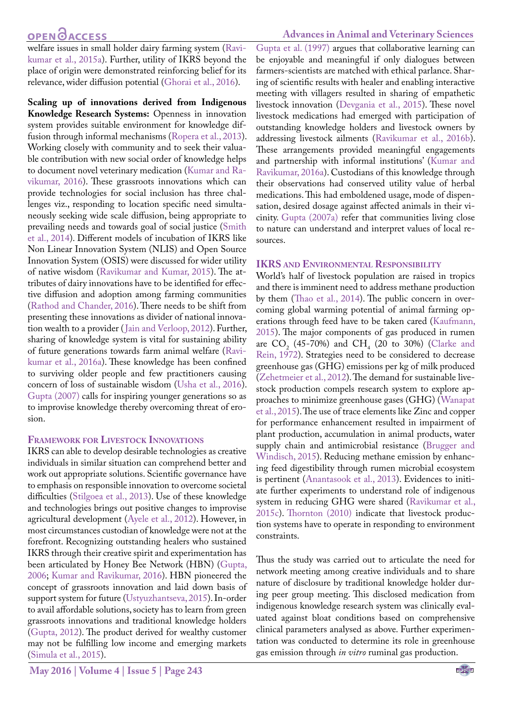### **OPEN**<sub>d</sub>

welfare issues in small holder dairy farming system ([Ravi](#page-7-1)[kumar et al., 2015a\)](#page-7-1). Further, utility of IKRS beyond the place of origin were demonstrated reinforcing belief for its relevance, wider diffusion potential [\(Ghorai et al., 2016\)](#page-6-5).

**Scaling up of innovations derived from Indigenous Knowledge Research Systems:** Openness in innovation system provides suitable environment for knowledge diffusion through informal mechanisms ([Ropera et al., 2013\)](#page-7-1). Working closely with community and to seek their valuable contribution with new social order of knowledge helps to document novel veterinary medication [\(Kumar and Ra](#page-7-5)[vikumar, 2016\)](#page-7-5). These grassroots innovations which can provide technologies for social inclusion has three challenges viz., responding to location specific need simultaneously seeking wide scale diffusion, being appropriate to prevailing needs and towards goal of social justice ([Smith](#page-8-0) [et al., 2014](#page-8-0)). Different models of incubation of IKRS like Non Linear Innovation System (NLIS) and Open Source Innovation System (OSIS) were discussed for wider utility of native wisdom ([Ravikumar and Kumar, 2015\)](#page-7-1). The attributes of dairy innovations have to be identified for effective diffusion and adoption among farming communities ([Rathod and Chander, 2016\)](#page-7-1). There needs to be shift from presenting these innovations as divider of national innovation wealth to a provider ([Jain and Verloop, 2012](#page-7-4)). Further, sharing of knowledge system is vital for sustaining ability of future generations towards farm animal welfare ([Ravi](#page-7-1)[kumar et al., 2016a\)](#page-7-1). These knowledge has been confined to surviving older people and few practitioners causing concern of loss of sustainable wisdom [\(Usha et al., 2016\)](#page-8-3). [Gupta \(2007\) c](#page-6-5)alls for inspiring younger generations so as to improvise knowledge thereby overcoming threat of erosion.

#### **Framework for Livestock Innovations**

IKRS can able to develop desirable technologies as creative individuals in similar situation can comprehend better and work out appropriate solutions. Scientific governance have to emphasis on responsible innovation to overcome societal difficulties [\(Stilgoea et al., 2013](#page-8-0)). Use of these knowledge and technologies brings out positive changes to improvise agricultural development [\(Ayele et al., 2012\)](#page-6-4). However, in most circumstances custodian of knowledge were not at the forefront. Recognizing outstanding healers who sustained IKRS through their creative spirit and experimentation has been articulated by Honey Bee Network (HBN) ([Gupta,](#page-6-5) [2006](#page-6-5); [Kumar and Ravikumar, 2016](#page-7-5)). HBN pioneered the concept of grassroots innovation and laid down basis of support system for future [\(Ustyuzhantseva, 2015\)](#page-8-3). In-order to avail affordable solutions, society has to learn from green grassroots innovations and traditional knowledge holders ([Gupta, 2012](#page-6-5)). The product derived for wealthy customer may not be fulfilling low income and emerging markets ([Simula et al., 2015\)](#page-8-0).

#### **Advances in Animal and Veterinary Sciences**

[Gupta et al. \(1997\)](#page-6-5) argues that collaborative learning can be enjoyable and meaningful if only dialogues between farmers-scientists are matched with ethical parlance. Sharing of scientific results with healer and enabling interactive meeting with villagers resulted in sharing of empathetic livestock innovation ([Devgania et al., 2015\)](#page-6-3). These novel livestock medications had emerged with participation of outstanding knowledge holders and livestock owners by addressing livestock ailments [\(Ravikumar et al., 2016b\)](#page-7-1). These arrangements provided meaningful engagements and partnership with informal institutions' ([Kumar and](#page-7-5)  [Ravikumar, 2016a\)](#page-7-5). Custodians of this knowledge through their observations had conserved utility value of herbal medications. This had emboldened usage, mode of dispensation, desired dosage against affected animals in their vicinity. [Gupta \(2007a\)](#page-6-5) refer that communities living close to nature can understand and interpret values of local resources.

#### **IKRS and Environmental Responsibility**

World's half of livestock population are raised in tropics and there is imminent need to address methane production by them [\(Thao et al., 2014\)](#page-8-4). The public concern in overcoming global warming potential of animal farming operations through feed have to be taken cared ([Kaufmann,](#page-7-5)  [2015\)](#page-7-5). The major components of gas produced in rumen are  $CO_2$  (45-70%) and  $CH_4$  (20 to 30%) (Clarke and [Rein, 1972](#page-6-1)). Strategies need to be considered to decrease greenhouse gas (GHG) emissions per kg of milk produced [\(Zehetmeier et al., 2012](#page-8-5)). The demand for sustainable livestock production compels research system to explore approaches to minimize greenhouse gases (GHG) ([Wanapat](#page-8-2)  [et al., 2015\)](#page-8-2). The use of trace elements like Zinc and copper for performance enhancement resulted in impairment of plant production, accumulation in animal products, water supply chain and antimicrobial resistance [\(Brugger and](#page-6-0)  [Windisch, 2015](#page-6-0)). Reducing methane emission by enhancing feed digestibility through rumen microbial ecosystem is pertinent ([Anantasook et al., 2013](#page-6-4)). Evidences to initiate further experiments to understand role of indigenous system in reducing GHG were shared [\(Ravikumar et al.,](#page-7-1)  [2015c](#page-7-1)). [Thornton \(2010\)](#page-8-4) indicate that livestock production systems have to operate in responding to environment constraints.

Thus the study was carried out to articulate the need for network meeting among creative individuals and to share nature of disclosure by traditional knowledge holder during peer group meeting. This disclosed medication from indigenous knowledge research system was clinically evaluated against bloat conditions based on comprehensive clinical parameters analysed as above. Further experimentation was conducted to determine its role in greenhouse gas emission through *in vitro* ruminal gas production.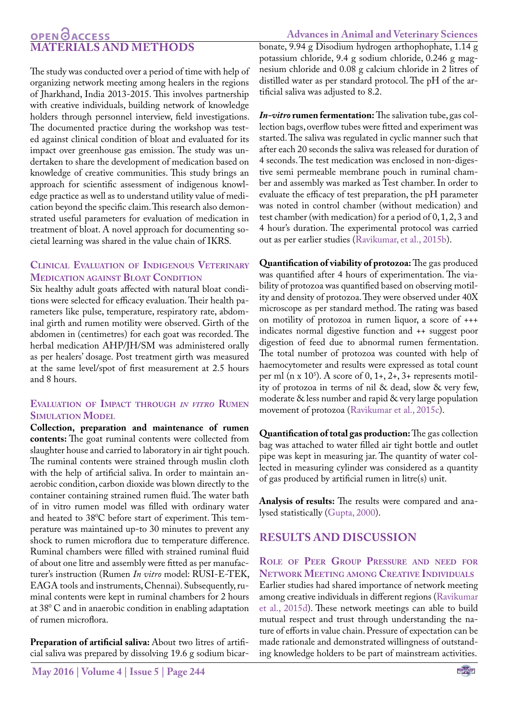#### **Advances in Animal and Veterinary Sciences**

### OPEN **OACCESS MATERIALS AND METHODS**

The study was conducted over a period of time with help of organizing network meeting among healers in the regions of Jharkhand, India 2013-2015. This involves partnership with creative individuals, building network of knowledge holders through personnel interview, field investigations. The documented practice during the workshop was tested against clinical condition of bloat and evaluated for its impact over greenhouse gas emission. The study was undertaken to share the development of medication based on knowledge of creative communities. This study brings an approach for scientific assessment of indigenous knowledge practice as well as to understand utility value of medication beyond the specific claim. This research also demonstrated useful parameters for evaluation of medication in treatment of bloat. A novel approach for documenting societal learning was shared in the value chain of IKRS.

#### **Clinical Evaluation of Indigenous Veterinary Medication against Bloat Condition**

Six healthy adult goats affected with natural bloat conditions were selected for efficacy evaluation. Their health parameters like pulse, temperature, respiratory rate, abdominal girth and rumen motility were observed. Girth of the abdomen in (centimetres) for each goat was recorded. The herbal medication AHP/JH/SM was administered orally as per healers' dosage. Post treatment girth was measured at the same level/spot of first measurement at 2.5 hours and 8 hours.

#### **Evaluation of Impact through** *in vitro* **Rumen Simulation Model**

**Collection, preparation and maintenance of rumen contents:** The goat ruminal contents were collected from slaughter house and carried to laboratory in air tight pouch. The ruminal contents were strained through muslin cloth with the help of artificial saliva. In order to maintain anaerobic condition, carbon dioxide was blown directly to the container containing strained rumen fluid. The water bath of in vitro rumen model was filled with ordinary water and heated to  $38^{\circ}$ C before start of experiment. This temperature was maintained up-to 30 minutes to prevent any shock to rumen microflora due to temperature difference. Ruminal chambers were filled with strained ruminal fluid of about one litre and assembly were fitted as per manufacturer's instruction (Rumen *In vitro* model: RUSI-E-TEK, EAGA tools and instruments, Chennai). Subsequently, ruminal contents were kept in ruminal chambers for 2 hours at 380 C and in anaerobic condition in enabling adaptation of rumen microflora.

Preparation of artificial saliva: About two litres of artificial saliva was prepared by dissolving 19.6 g sodium bicarbonate, 9.94 g Disodium hydrogen arthophophate, 1.14 g potassium chloride, 9.4 g sodium chloride, 0.246 g magnesium chloride and 0.08 g calcium chloride in 2 litres of distilled water as per standard protocol. The pH of the artificial saliva was adjusted to 8.2.

*In-vitro* **rumen fermentation:** The salivation tube, gas collection bags, overflow tubes were fitted and experiment was started. The saliva was regulated in cyclic manner such that after each 20 seconds the saliva was released for duration of 4 seconds. The test medication was enclosed in non-digestive semi permeable membrane pouch in ruminal chamber and assembly was marked as Test chamber. In order to evaluate the efficacy of test preparation, the pH parameter was noted in control chamber (without medication) and test chamber (with medication) for a period of 0, 1, 2, 3 and 4 hour's duration. The experimental protocol was carried out as per earlier studies (Ravikumar, et al., 2015b).

**Quantification of viability of protozoa:** The gas produced was quantified after 4 hours of experimentation. The viability of protozoa was quantified based on observing motility and density of protozoa. They were observed under 40X microscope as per standard method. The rating was based on motility of protozoa in rumen liquor, a score of +++ indicates normal digestive function and ++ suggest poor digestion of feed due to abnormal rumen fermentation. The total number of protozoa was counted with help of haemocytometer and results were expressed as total count per ml (n x  $10^5$ ). A score of 0, 1+, 2+, 3+ represents motility of protozoa in terms of nil & dead, slow & very few, moderate & less number and rapid & very large population movement of protozoa ([Ravikumar et al., 2015c\)](#page-7-1).

**Quantification of total gas production:** The gas collection bag was attached to water filled air tight bottle and outlet pipe was kept in measuring jar. The quantity of water collected in measuring cylinder was considered as a quantity of gas produced by artificial rumen in litre(s) unit.

**Analysis of results:** The results were compared and analysed statistically ([Gupta, 2000\)](#page-6-5).

### **RESULTS AND DISCUSSION**

**Role of Peer Group Pressure and need for Network Meeting among Creative Individuals** Earlier studies had shared importance of network meeting among creative individuals in different regions ([Ravikumar](#page-7-1) [et al., 2015d\)](#page-7-1). These network meetings can able to build mutual respect and trust through understanding the nature of efforts in value chain. Pressure of expectation can be made rationale and demonstrated willingness of outstanding knowledge holders to be part of mainstream activities.

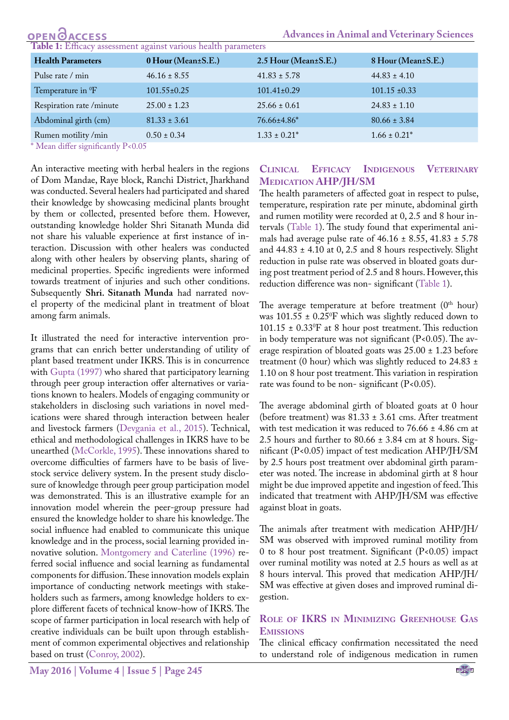<span id="page-4-0"></span>

| <b>OPEN</b> OACCESS                                            |                    |                      | <b>Advances in Animal and Veterinary Sciences</b> |  |  |  |  |  |  |  |
|----------------------------------------------------------------|--------------------|----------------------|---------------------------------------------------|--|--|--|--|--|--|--|
| Table 1: Efficacy assessment against various health parameters |                    |                      |                                                   |  |  |  |  |  |  |  |
| <b>Health Parameters</b>                                       | 0 Hour (Mean±S.E.) | 2.5 Hour (Mean±S.E.) | 8 Hour (Mean±S.E.)                                |  |  |  |  |  |  |  |
| Pulse rate / min                                               | $46.16 \pm 8.55$   | $41.83 \pm 5.78$     | $44.83 \pm 4.10$                                  |  |  |  |  |  |  |  |
| Temperature in <sup>0</sup> F                                  | $101.55 \pm 0.25$  | $101.41 \pm 0.29$    | $101.15 \pm 0.33$                                 |  |  |  |  |  |  |  |
| Respiration rate/minute                                        | $25.00 \pm 1.23$   | $25.66 \pm 0.61$     | $24.83 \pm 1.10$                                  |  |  |  |  |  |  |  |
| Abdominal girth (cm)                                           | $81.33 \pm 3.61$   | 76.66±4.86*          | $80.66 \pm 3.84$                                  |  |  |  |  |  |  |  |
| Rumen motility/min                                             | $0.50 \pm 0.34$    | $1.33 \pm 0.21^*$    | $1.66 \pm 0.21^*$                                 |  |  |  |  |  |  |  |

\* Mean differ significantly P<0.05

An interactive meeting with herbal healers in the regions of Dom Mandae, Raye block, Ranchi District, Jharkhand was conducted. Several healers had participated and shared their knowledge by showcasing medicinal plants brought by them or collected, presented before them. However, outstanding knowledge holder Shri Sitanath Munda did not share his valuable experience at first instance of interaction. Discussion with other healers was conducted along with other healers by observing plants, sharing of medicinal properties. Specific ingredients were informed towards treatment of injuries and such other conditions. Subsequently **Shri. Sitanath Munda** had narrated novel property of the medicinal plant in treatment of bloat among farm animals.

It illustrated the need for interactive intervention programs that can enrich better understanding of utility of plant based treatment under IKRS. This is in concurrence with [Gupta \(1997\)](#page-6-5) who shared that participatory learning through peer group interaction offer alternatives or variations known to healers. Models of engaging community or stakeholders in disclosing such variations in novel medications were shared through interaction between healer and livestock farmers [\(Devgania et al., 2015](#page-6-3)). Technical, ethical and methodological challenges in IKRS have to be unearthed [\(McCorkle, 1995\)](#page-7-0). These innovations shared to overcome difficulties of farmers have to be basis of livestock service delivery system. In the present study disclosure of knowledge through peer group participation model was demonstrated. This is an illustrative example for an innovation model wherein the peer-group pressure had ensured the knowledge holder to share his knowledge. The social influence had enabled to communicate this unique knowledge and in the process, social learning provided innovative solution. [Montgomery and Caterline \(1996\)](#page-7-0) referred social influence and social learning as fundamental components for diffusion. These innovation models explain importance of conducting network meetings with stakeholders such as farmers, among knowledge holders to explore different facets of technical know-how of IKRS. The scope of farmer participation in local research with help of creative individuals can be built upon through establishment of common experimental objectives and relationship based on trust [\(Conroy, 2002](#page-6-1)).

#### **Clinical Efficacy Indigenous Veterinary Medication AHP/JH/SM**

The health parameters of affected goat in respect to pulse, temperature, respiration rate per minute, abdominal girth and rumen motility were recorded at 0, 2.5 and 8 hour intervals ([Table 1](#page-4-0)). The study found that experimental animals had average pulse rate of  $46.16 \pm 8.55$ ,  $41.83 \pm 5.78$ and  $44.83 \pm 4.10$  at 0, 2.5 and 8 hours respectively. Slight reduction in pulse rate was observed in bloated goats during post treatment period of 2.5 and 8 hours. However, this reduction difference was non- significant ([Table 1\)](#page-4-0).

The average temperature at before treatment  $(0<sup>th</sup> hour)$ was 101.55 ± 0.250 F which was slightly reduced down to  $101.15 \pm 0.33$ <sup>o</sup>F at 8 hour post treatment. This reduction in body temperature was not significant  $(P<0.05)$ . The average respiration of bloated goats was 25.00 ± 1.23 before treatment (0 hour) which was slightly reduced to 24.83  $\pm$ 1.10 on 8 hour post treatment. This variation in respiration rate was found to be non-significant  $(P<0.05)$ .

The average abdominal girth of bloated goats at 0 hour (before treatment) was  $81.33 \pm 3.61$  cms. After treatment with test medication it was reduced to 76.66 ± 4.86 cm at 2.5 hours and further to  $80.66 \pm 3.84$  cm at 8 hours. Significant (P<0.05) impact of test medication AHP/JH/SM by 2.5 hours post treatment over abdominal girth parameter was noted. The increase in abdominal girth at 8 hour might be due improved appetite and ingestion of feed. This indicated that treatment with AHP/JH/SM was effective against bloat in goats.

The animals after treatment with medication AHP/JH/ SM was observed with improved ruminal motility from 0 to 8 hour post treatment. Significant (P<0.05) impact over ruminal motility was noted at 2.5 hours as well as at 8 hours interval. This proved that medication AHP/JH/ SM was effective at given doses and improved ruminal digestion.

#### **Role of IKRS in Minimizing Greenhouse Gas Emissions**

The clinical efficacy confirmation necessitated the need to understand role of indigenous medication in rumen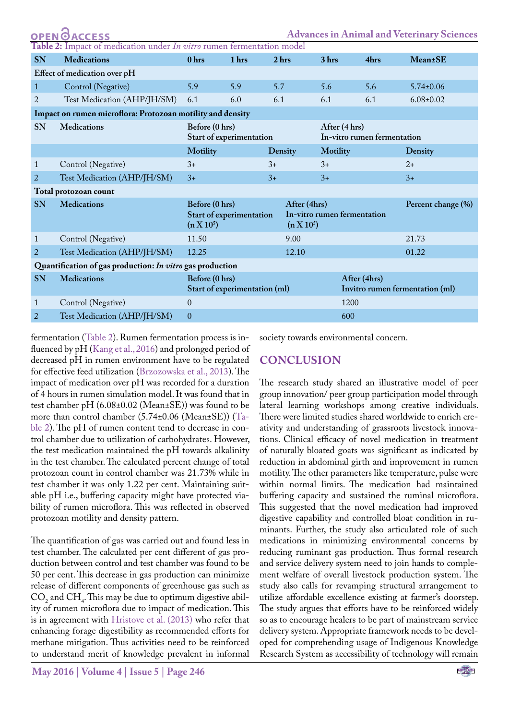<span id="page-5-0"></span>

| OPEN OACCESS<br><b>Advances in Animal and Veterinary Sciences</b>     |                             |                                                            |                |       |                                                             |                 |                                                 |                 |  |  |  |
|-----------------------------------------------------------------------|-----------------------------|------------------------------------------------------------|----------------|-------|-------------------------------------------------------------|-----------------|-------------------------------------------------|-----------------|--|--|--|
| Table 2: Impact of medication under In vitro rumen fermentation model |                             |                                                            |                |       |                                                             |                 |                                                 |                 |  |  |  |
| <b>SN</b>                                                             | <b>Medications</b>          | 0 hrs                                                      | 1 hrs          |       | 2 <sub>hrs</sub>                                            | 3 hrs           | 4hrs                                            | <b>Mean</b> ±SE |  |  |  |
| Effect of medication over pH                                          |                             |                                                            |                |       |                                                             |                 |                                                 |                 |  |  |  |
| $\mathbf{1}$                                                          | Control (Negative)          | 5.9                                                        | 5.9            | 5.7   |                                                             | 5.6             | 5.6                                             | $5.74 \pm 0.06$ |  |  |  |
| 2                                                                     | Test Medication (AHP/JH/SM) | 6.1                                                        | 6.0            | 6.1   |                                                             | 6.1             | 6.1                                             | $6.08 \pm 0.02$ |  |  |  |
| Impact on rumen microflora: Protozoan motility and density            |                             |                                                            |                |       |                                                             |                 |                                                 |                 |  |  |  |
| <b>SN</b>                                                             | <b>Medications</b>          | Before (0 hrs)<br>Start of experimentation                 |                |       | After (4 hrs)<br>In-vitro rumen fermentation                |                 |                                                 |                 |  |  |  |
|                                                                       |                             | Motility                                                   |                |       | Density                                                     | <b>Motility</b> |                                                 | Density         |  |  |  |
| 1                                                                     | Control (Negative)          | $3+$                                                       |                | $3+$  |                                                             | $3+$            |                                                 | $2+$            |  |  |  |
| 2                                                                     | Test Medication (AHP/JH/SM) | $3+$                                                       |                | $3+$  |                                                             | $3+$            |                                                 | $3+$            |  |  |  |
| Total protozoan count                                                 |                             |                                                            |                |       |                                                             |                 |                                                 |                 |  |  |  |
| <b>SN</b>                                                             | <b>Medications</b>          | Before (0 hrs)<br>Start of experimentation<br>$(n X 10^5)$ |                |       | After (4hrs)<br>In-vitro rumen fermentation<br>$(n X 10^5)$ |                 | Percent change (%)                              |                 |  |  |  |
| 1                                                                     | Control (Negative)          | 11.50                                                      |                |       | 9.00                                                        |                 |                                                 | 21.73           |  |  |  |
| 2                                                                     | Test Medication (AHP/JH/SM) | 12.25                                                      |                | 12.10 |                                                             |                 |                                                 | 01.22           |  |  |  |
| Quantification of gas production: In vitro gas production             |                             |                                                            |                |       |                                                             |                 |                                                 |                 |  |  |  |
| SN                                                                    | <b>Medications</b>          | Before (0 hrs)<br>Start of experimentation (ml)            |                |       |                                                             |                 | After (4hrs)<br>Invitro rumen fermentation (ml) |                 |  |  |  |
| 1                                                                     | Control (Negative)          | $\theta$                                                   |                | 1200  |                                                             |                 |                                                 |                 |  |  |  |
| $\overline{2}$                                                        | Test Medication (AHP/JH/SM) |                                                            | $\overline{0}$ |       |                                                             |                 | 600                                             |                 |  |  |  |

fermentation ([Table 2\)](#page-5-0). Rumen fermentation process is influenced by pH [\(Kang et al., 2016](#page-7-5)) and prolonged period of decreased pH in rumen environment have to be regulated for effective feed utilization ([Brzozowska et al., 2013](#page-6-0)). The impact of medication over pH was recorded for a duration of 4 hours in rumen simulation model. It was found that in test chamber pH (6.08±0.02 (Mean±SE)) was found to be more than control chamber (5.74±0.06 (Mean±SE)) ([Ta](#page-5-0)[ble 2\)](#page-5-0). The pH of rumen content tend to decrease in control chamber due to utilization of carbohydrates. However, the test medication maintained the pH towards alkalinity in the test chamber. The calculated percent change of total protozoan count in control chamber was 21.73% while in test chamber it was only 1.22 per cent. Maintaining suitable pH i.e., buffering capacity might have protected viability of rumen microflora. This was reflected in observed protozoan motility and density pattern.

The quantification of gas was carried out and found less in test chamber. The calculated per cent different of gas production between control and test chamber was found to be 50 per cent. This decrease in gas production can minimize release of different components of greenhouse gas such as  $\text{CO}_2$  and  $\text{CH}_4$ . This may be due to optimum digestive ability of rumen microflora due to impact of medication. This is in agreement with [Hristove et al. \(2013\)](#page-7-6) who refer that enhancing forage digestibility as recommended efforts for methane mitigation. Thus activities need to be reinforced to understand merit of knowledge prevalent in informal

reduction in abdominal girth and improvement in rumen motility. The other parameters like temperature, pulse were within normal limits. The medication had maintained buffering capacity and sustained the ruminal microflora. This suggested that the novel medication had improved digestive capability and controlled bloat condition in ruminants. Further, the study also articulated role of such medications in minimizing environmental concerns by reducing ruminant gas production. Thus formal research and service delivery system need to join hands to complement welfare of overall livestock production system. The study also calls for revamping structural arrangement to utilize affordable excellence existing at farmer's doorstep. The study argues that efforts have to be reinforced widely so as to encourage healers to be part of mainstream service delivery system. Appropriate framework needs to be developed for comprehending usage of Indigenous Knowledge Research System as accessibility of technology will remain

The research study shared an illustrative model of peer group innovation/ peer group participation model through lateral learning workshops among creative individuals. There were limited studies shared worldwide to enrich creativity and understanding of grassroots livestock innovations. Clinical efficacy of novel medication in treatment of naturally bloated goats was significant as indicated by

society towards environmental concern.

**CONCLUSION**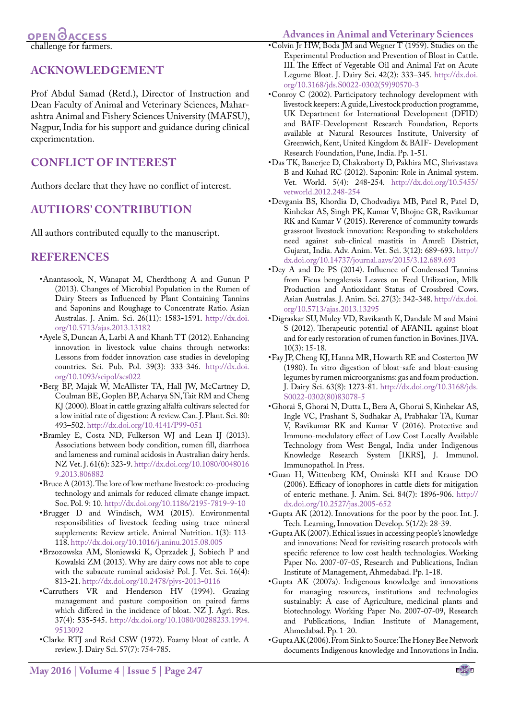challenge for farmers.

### **ACKNOWLEDGEMENT**

Prof Abdul Samad (Retd.), Director of Instruction and Dean Faculty of Animal and Veterinary Sciences, Maharashtra Animal and Fishery Sciences University (MAFSU), Nagpur, India for his support and guidance during clinical experimentation.

### **CONFLICT OF INTEREST**

Authors declare that they have no conflict of interest.

### **AUTHORS' CONTRIBUTION**

All authors contributed equally to the manuscript.

### **REFERENCES**

- <span id="page-6-4"></span>•Anantasook, N, Wanapat M, Cherdthong A and Gunun P (2013). Changes of Microbial Population in the Rumen of Dairy Steers as Influenced by Plant Containing Tannins and Saponins and Roughage to Concentrate Ratio. Asian Australas. J. Anim. Sci. 26(11): 1583-1591. [http://dx.doi.](http://dx.doi.org/10.5713/ajas.2013.13182) [org/10.5713/ajas.2013.13182](http://dx.doi.org/10.5713/ajas.2013.13182)
- •Ayele S, Duncan A, Larbi A and Khanh TT (2012). Enhancing innovation in livestock value chains through networks: Lessons from fodder innovation case studies in developing countries. Sci. Pub. Pol. 39(3): 333-346. [http://dx.doi.](http://dx.doi.org/10.1093/scipol/scs022) [org/10.1093/scipol/scs022](http://dx.doi.org/10.1093/scipol/scs022)
- <span id="page-6-0"></span>•Berg BP, Majak W, McAllister TA, Hall JW, McCartney D, Coulman BE, Goplen BP, Acharya SN, Tait RM and Cheng KJ (2000). Bloat in cattle grazing alfalfa cultivars selected for a low initial rate of digestion: A review. Can. J. Plant. Sci. 80: 493–502. <http://dx.doi.org/10.4141/P99-051>
- •Bramley E, Costa ND, Fulkerson WJ and Lean IJ (2013). Associations between body condition, rumen fill, diarrhoea and lameness and ruminal acidosis in Australian dairy herds. NZ Vet. J. 61(6): 323-9. [http://dx.doi.org/10.1080/0048016](http://dx.doi.org/10.1080/00480169.2013.806882) [9.2013.806882](http://dx.doi.org/10.1080/00480169.2013.806882)
- •Bruce A (2013). The lore of low methane livestock: co-producing technology and animals for reduced climate change impact. Soc. Pol. 9: 10.<http://dx.doi.org/10.1186/2195-7819-9-10>
- •Brugger D and Windisch, WM (2015). Environmental responsibilities of livestock feeding using trace mineral supplements: Review article. Animal Nutrition. 1(3): 113- 118. <http://dx.doi.org/10.1016/j.aninu.2015.08.005>
- •Brzozowska AM, Sloniewski K, Oprzadek J, Sobiech P and Kowalski ZM (2013). Why are dairy cows not able to cope with the subacute ruminal acidosis? Pol. J. Vet. Sci. 16(4): 813-21.<http://dx.doi.org/10.2478/pjvs-2013-0116>
- <span id="page-6-1"></span>•Carruthers VR and Henderson HV (1994). Grazing management and pasture composition on paired farms which differed in the incidence of bloat. NZ J. Agri. Res. 37(4): 535-545. [http://dx.doi.org/10.1080/00288233.1994.](http://dx.doi.org/10.1080/00288233.1994.9513092) [9513092](http://dx.doi.org/10.1080/00288233.1994.9513092)
- •Clarke RTJ and Reid CSW (1972). Foamy bloat of cattle. A review. J. Dairy Sci. 57(7): 754-785.
- •Colvin Jr HW, Boda JM and Wegner T (1959). Studies on the Experimental Production and Prevention of Bloat in Cattle. III. The Effect of Vegetable Oil and Animal Fat on Acute Legume Bloat. J. Dairy Sci. 42(2): 333–345. [http://dx.doi.](http://dx.doi.org/10.3168/jds.S0022-0302(59)90570-3) [org/10.3168/jds.S0022-0302\(59\)90570-3](http://dx.doi.org/10.3168/jds.S0022-0302(59)90570-3)
- •Conroy C (2002). Participatory technology development with livestock keepers: A guide, Livestock production programme, UK Department for International Development (DFID) and BAIF-Development Research Foundation, Reports available at Natural Resources Institute, University of Greenwich, Kent, United Kingdom & BAIF- Development Research Foundation, Pune, India. Pp. 1-51.
- <span id="page-6-3"></span>•Das TK, Banerjee D, Chakraborty D, Pakhira MC, Shrivastava B and Kuhad RC (2012). Saponin: Role in Animal system. Vet. World. 5(4): 248-254. [http://dx.doi.org/10.5455/](http://dx.doi.org/10.5455/vetworld.2012.248-254) [vetworld.2012.248-254](http://dx.doi.org/10.5455/vetworld.2012.248-254)
- •Devgania BS, Khordia D, Chodvadiya MB, Patel R, Patel D, Kinhekar AS, Singh PK, Kumar V, Bhojne GR, Ravikumar RK and Kumar V (2015). Reverence of community towards grassroot livestock innovation: Responding to stakeholders need against sub-clinical mastitis in Amreli District, Gujarat, India. Adv. Anim. Vet. Sci. 3(12): 689-693. [http://](http://dx.doi.org/10.14737/journal.aavs/2015/3.12.689.693) [dx.doi.org/10.14737/journal.aavs/2015/3.12.689.693](http://dx.doi.org/10.14737/journal.aavs/2015/3.12.689.693)
- •Dey A and De PS (2014). Influence of Condensed Tannins from Ficus bengalensis Leaves on Feed Utilization, Milk Production and Antioxidant Status of Crossbred Cows. Asian Australas. J. Anim. Sci. 27(3): 342-348. [http://dx.doi.](http://dx.doi.org/10.5713/ajas.2013.13295) [org/10.5713/ajas.2013.13295](http://dx.doi.org/10.5713/ajas.2013.13295)
- •Digraskar SU, Muley VD, Ravikanth K, Dandale M and Maini S (2012). Therapeutic potential of AFANIL against bloat and for early restoration of rumen function in Bovines. JIVA. 10(3): 15-18.
- <span id="page-6-2"></span>•Fay JP, Cheng KJ, Hanna MR, Howarth RE and Costerton JW (1980). In vitro digestion of bloat-safe and bloat-causing legumes by rumen microorganisms: gas and foam production. J. Dairy Sci. 63(8): 1273-81. [http://dx.doi.org/10.3168/jds.](http://dx.doi.org/10.3168/jds.S0022-0302(80)83078-5) [S0022-0302\(80\)83078-5](http://dx.doi.org/10.3168/jds.S0022-0302(80)83078-5)
- <span id="page-6-5"></span>•Ghorai S, Ghorai N, Dutta L, Bera A, Ghorui S, Kinhekar AS, Ingle VC, Prashant S, Sudhakar A, Prabhakar TA, Kumar V, Ravikumar RK and Kumar V (2016). Protective and Immuno-modulatory effect of Low Cost Locally Available Technology from West Bengal, India under Indigenous Knowledge Research System [IKRS], J. Immunol. Immunopathol. In Press.
- •Guan H, Wittenberg KM, Ominski KH and Krause DO (2006). Efficacy of ionophores in cattle diets for mitigation of enteric methane. J. Anim. Sci. 84(7): 1896-906. [http://](http://dx.doi.org/10.2527/jas.2005-652) [dx.doi.org/10.2527/jas.2005-652](http://dx.doi.org/10.2527/jas.2005-652)
- •Gupta AK (2012). Innovations for the poor by the poor. Int. J. Tech. Learning, Innovation Develop. 5(1/2): 28-39.
- •Gupta AK (2007). Ethical issues in accessing people's knowledge and innovations: Need for revisiting research protocols with specific reference to low cost health technologies. Working Paper No. 2007-07-05, Research and Publications, Indian Institute of Management, Ahmedabad. Pp. 1-18.
- •Gupta AK (2007a). Indigenous knowledge and innovations for managing resources, institutions and technologies sustainably: A case of Agriculture, medicinal plants and biotechnology. Working Paper No. 2007-07-09, Research and Publications, Indian Institute of Management, Ahmedabad. Pp. 1-20.
- •Gupta AK (2006). From Sink to Source: The Honey Bee Network documents Indigenous knowledge and Innovations in India.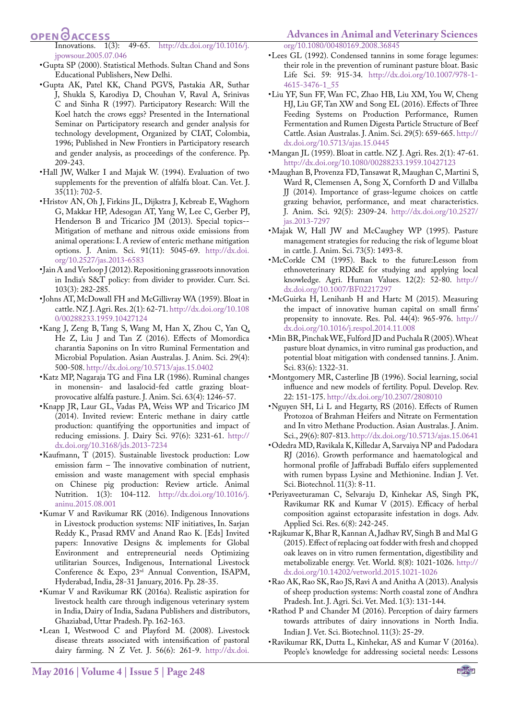#### **Advances in Animal and Veterinary Sciences**

**OPEN**<sub>d</sub>

Innovations. 1(3): 49-65. [http://dx.doi.org/10.1016/j.](http://dx.doi.org/10.1016/j.jpowsour.2005.07.046) [jpowsour.2005.07.046](http://dx.doi.org/10.1016/j.jpowsour.2005.07.046)

- •Gupta SP (2000). Statistical Methods. Sultan Chand and Sons Educational Publishers, New Delhi.
- •Gupta AK, Patel KK, Chand PGVS, Pastakia AR, Suthar J, Shukla S, Karodiya D, Chouhan V, Raval A, Srinivas C and Sinha R (1997). Participatory Research: Will the Koel hatch the crows eggs? Presented in the International Seminar on Participatory research and gender analysis for technology development, Organized by CIAT, Colombia, 1996; Published in New Frontiers in Participatory research and gender analysis, as proceedings of the conference. Pp. 209-243.
- <span id="page-7-6"></span>•Hall JW, Walker I and Majak W. (1994). Evaluation of two supplements for the prevention of alfalfa bloat. Can. Vet. J. 35(11): 702-5.
- •Hristov AN, Oh J, Firkins JL, Dijkstra J, Kebreab E, Waghorn G, Makkar HP, Adesogan AT, Yang W, Lee C, Gerber PJ, Henderson B and Tricarico JM (2013). Special topics-- Mitigation of methane and nitrous oxide emissions from animal operations: I. A review of enteric methane mitigation options. J. Anim. Sci. 91(11): 5045-69. [http://dx.doi.](http://dx.doi.org/10.2527/jas.2013-6583) [org/10.2527/jas.2013-6583](http://dx.doi.org/10.2527/jas.2013-6583)
- <span id="page-7-4"></span>•Jain A and Verloop J (2012). Repositioning grassroots innovation in India's S&T policy: from divider to provider. Curr. Sci. 103(3): 282-285.
- •Johns AT, McDowall FH and McGillivray WA (1959). Bloat in cattle. NZ J. Agri. Res. 2(1): 62-71. [http://dx.doi.org/10.108](http://dx.doi.org/10.1080/00288233.1959.10427124) [0/00288233.1959.10427124](http://dx.doi.org/10.1080/00288233.1959.10427124)
- <span id="page-7-5"></span>•Kang J, Zeng B, Tang S, Wang M, Han X, Zhou C, Yan Q, He Z, Liu J and Tan Z (2016). Effects of Momordica charantia Saponins on In vitro Ruminal Fermentation and Microbial Population. Asian Australas. J. Anim. Sci. 29(4): 500-508. <http://dx.doi.org/10.5713/ajas.15.0402>
- •Katz MP, Nagaraja TG and Fina LR (1986). Ruminal changes in monensin- and lasalocid-fed cattle grazing bloatprovocative alfalfa pasture. J. Anim. Sci. 63(4): 1246-57.
- •Knapp JR, Laur GL, Vadas PA, Weiss WP and Tricarico JM (2014). Invited review: Enteric methane in dairy cattle production: quantifying the opportunities and impact of reducing emissions. J. Dairy Sci. 97(6): 3231-61. [http://](http://dx.doi.org/10.3168/jds.2013-7234) [dx.doi.org/10.3168/jds.2013-7234](http://dx.doi.org/10.3168/jds.2013-7234)
- •Kaufmann, T (2015). Sustainable livestock production: Low emission farm – The innovative combination of nutrient, emission and waste management with special emphasis on Chinese pig production: Review article. Animal Nutrition. 1(3): 104-112. [http://dx.doi.org/10.1016/j.](http://dx.doi.org/10.1016/j.aninu.2015.08.001) [aninu.2015.08.001](http://dx.doi.org/10.1016/j.aninu.2015.08.001)
- •Kumar V and Ravikumar RK (2016). Indigenous Innovations in Livestock production systems: NIF initiatives, In. Sarjan Reddy K., Prasad RMV and Anand Rao K. [Eds] Invited papers: Innovative Designs & implements for Global Environment and entrepreneurial needs Optimizing utilitarian Sources, Indigenous, International Livestock Conference & Expo, 23rd Annual Convention, ISAPM, Hyderabad, India, 28-31 January, 2016. Pp. 28-35.
- •Kumar V and Ravikumar RK (2016a). Realistic aspiration for livestock health care through indigenous veterinary system in India, Dairy of India, Sadana Publishers and distributors, Ghaziabad, Uttar Pradesh. Pp. 162-163.
- <span id="page-7-2"></span>•Lean I, Westwood C and Playford M. (2008). Livestock disease threats associated with intensification of pastoral dairy farming. N Z Vet. J. 56(6): 261-9. [http://dx.doi.](http://dx.doi.org/10.1080/00480169.2008.36845)

•Lees GL (1992). Condensed tannins in some forage legumes: their role in the prevention of ruminant pasture bloat. Basic Life Sci. 59: 915-34. [http://dx.doi.org/10.1007/978-1-](http://dx.doi.org/10.1007/978-1-4615-3476-1_55) [4615-3476-1\\_55](http://dx.doi.org/10.1007/978-1-4615-3476-1_55)

[org/10.1080/00480169.2008.36845](http://dx.doi.org/10.1080/00480169.2008.36845)

- •Liu YF, Sun FF, Wan FC, Zhao HB, Liu XM, You W, Cheng HJ, Liu GF, Tan XW and Song EL (2016). Effects of Three Feeding Systems on Production Performance, Rumen Fermentation and Rumen Digesta Particle Structure of Beef Cattle. Asian Australas. J. Anim. Sci. 29(5): 659-665. [http://](http://dx.doi.org/10.5713/ajas.15.0445) [dx.doi.org/10.5713/ajas.15.0445](http://dx.doi.org/10.5713/ajas.15.0445)
- <span id="page-7-0"></span>•Mangan JL (1959). Bloat in cattle. NZ J. Agri. Res. 2(1): 47-61. <http://dx.doi.org/10.1080/00288233.1959.10427123>
- •Maughan B, Provenza FD, Tansawat R, Maughan C, Martini S, Ward R, Clemensen A, Song X, Cornforth D and Villalba JJ (2014). Importance of grass-legume choices on cattle grazing behavior, performance, and meat characteristics. J. Anim. Sci. 92(5): 2309-24. [http://dx.doi.org/10.2527/](http://dx.doi.org/10.2527/jas.2013-7297) [jas.2013-7297](http://dx.doi.org/10.2527/jas.2013-7297)
- •Majak W, Hall JW and McCaughey WP (1995). Pasture management strategies for reducing the risk of legume bloat in cattle. J. Anim. Sci. 73(5): 1493-8.
- •McCorkle CM (1995). Back to the future:Lesson from ethnoveterinary RD&E for studying and applying local knowledge. Agri. Human Values. 12(2): 52-80. [http://](http://dx.doi.org/10.1007/BF02217297) [dx.doi.org/10.1007/BF02217297](http://dx.doi.org/10.1007/BF02217297)
- •McGuirka H, Lenihanb H and Hartc M (2015). Measuring the impact of innovative human capital on small firms' propensity to innovate. Res. Pol. 44(4): 965-976. [http://](http://dx.doi.org/10.1016/j.respol.2014.11.008) [dx.doi.org/10.1016/j.respol.2014.11.008](http://dx.doi.org/10.1016/j.respol.2014.11.008)
- •Min BR, Pinchak WE, Fulford JD and Puchala R (2005). Wheat pasture bloat dynamics, in vitro ruminal gas production, and potential bloat mitigation with condensed tannins. J. Anim. Sci. 83(6): 1322-31.
- •Montgomery MR, Casterline JB (1996). Social learning, social influence and new models of fertility. Popul. Develop. Rev. 22: 151-175. <http://dx.doi.org/10.2307/2808010>
- <span id="page-7-3"></span>•Nguyen SH, Li L and Hegarty, RS (2016). Effects of Rumen Protozoa of Brahman Heifers and Nitrate on Fermentation and In vitro Methane Production. Asian Australas. J. Anim. Sci., 29(6): 807-813.<http://dx.doi.org/10.5713/ajas.15.0641>
- <span id="page-7-7"></span>•Odedra MD, Ravikala K, Killedar A, Sarvaiya NP and Padodara RJ (2016). Growth performance and haematological and hormonal profile of Jaffrabadi Buffalo eifers supplemented with rumen bypass Lysine and Methionine. Indian J. Vet. Sci. Biotechnol. 11(3): 8-11.
- <span id="page-7-8"></span>•Periyaveeturaman C, Selvaraju D, Kinhekar AS, Singh PK, Ravikumar RK and Kumar V (2015). Efficacy of herbal composition against ectoparasite infestation in dogs. Adv. Applied Sci. Res. 6(8): 242-245.
- <span id="page-7-1"></span>•Rajkumar K, Bhar R, Kannan A, Jadhav RV, Singh B and Mal G (2015). Effect of replacing oat fodder with fresh and chopped oak leaves on in vitro rumen fermentation, digestibility and metabolizable energy. Vet. World. 8(8): 1021-1026. [http://](http://dx.doi.org/10.14202/vetworld.2015.1021-1026) [dx.doi.org/10.14202/vetworld.2015.1021-1026](http://dx.doi.org/10.14202/vetworld.2015.1021-1026)
- •Rao AK, Rao SK, Rao JS, Ravi A and Anitha A (2013). Analysis of sheep production systems: North coastal zone of Andhra Pradesh. Int. J. Agri. Sci. Vet. Med. 1(3): 131-144.
- •Rathod P and Chander M (2016). Perception of dairy farmers towards attributes of dairy innovations in North India. Indian J. Vet. Sci. Biotechnol. 11(3): 25-29.
- •Ravikumar RK, Dutta L, Kinhekar, AS and Kumar V (2016a). People's knowledge for addressing societal needs: Lessons